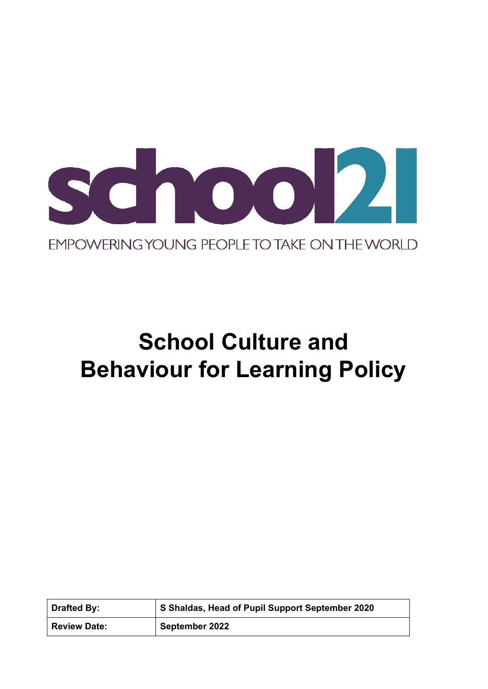

# **School Culture and Behaviour for Learning Policy**

| <b>Drafted By:</b>  | S Shaldas, Head of Pupil Support September 2020 |
|---------------------|-------------------------------------------------|
| <b>Review Date:</b> | September 2022                                  |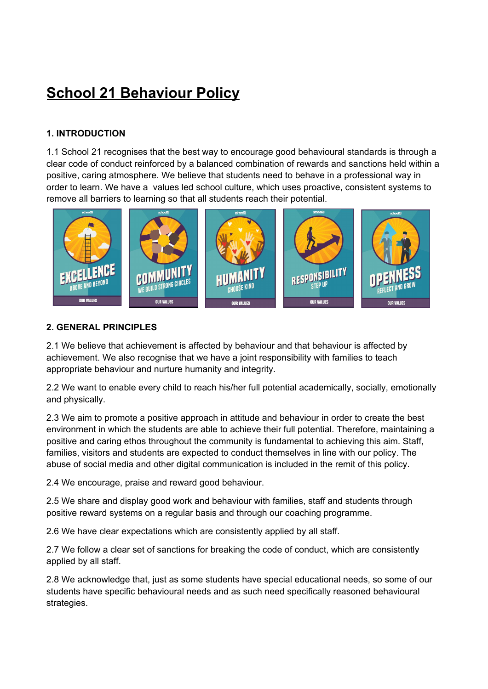## **School 21 Behaviour Policy**

#### **1. INTRODUCTION**

1.1 School 21 recognises that the best way to encourage good behavioural standards is through a clear code of conduct reinforced by a balanced combination of rewards and sanctions held within a positive, caring atmosphere. We believe that students need to behave in a professional way in order to learn. We have a values led school culture, which uses proactive, consistent systems to remove all barriers to learning so that all students reach their potential.



#### **2. GENERAL PRINCIPLES**

2.1 We believe that achievement is affected by behaviour and that behaviour is affected by achievement. We also recognise that we have a joint responsibility with families to teach appropriate behaviour and nurture humanity and integrity.

2.2 We want to enable every child to reach his/her full potential academically, socially, emotionally and physically.

2.3 We aim to promote a positive approach in attitude and behaviour in order to create the best environment in which the students are able to achieve their full potential. Therefore, maintaining a positive and caring ethos throughout the community is fundamental to achieving this aim. Staff, families, visitors and students are expected to conduct themselves in line with our policy. The abuse of social media and other digital communication is included in the remit of this policy.

2.4 We encourage, praise and reward good behaviour.

2.5 We share and display good work and behaviour with families, staff and students through positive reward systems on a regular basis and through our coaching programme.

2.6 We have clear expectations which are consistently applied by all staff.

2.7 We follow a clear set of sanctions for breaking the code of conduct, which are consistently applied by all staff.

2.8 We acknowledge that, just as some students have special educational needs, so some of our students have specific behavioural needs and as such need specifically reasoned behavioural strategies.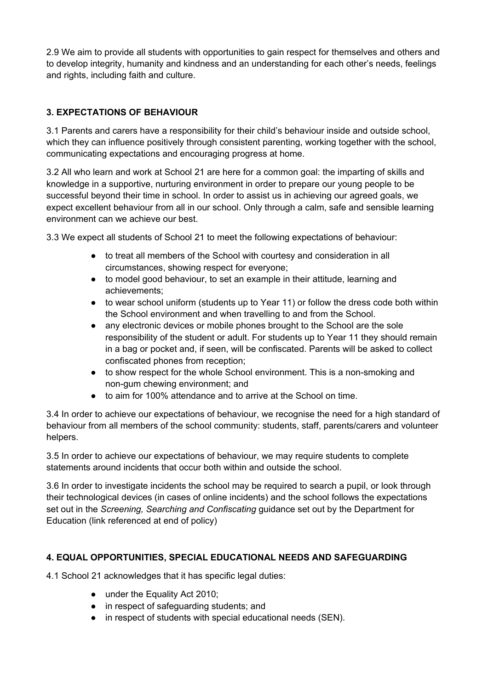2.9 We aim to provide all students with opportunities to gain respect for themselves and others and to develop integrity, humanity and kindness and an understanding for each other's needs, feelings and rights, including faith and culture.

#### **3. EXPECTATIONS OF BEHAVIOUR**

3.1 Parents and carers have a responsibility for their child's behaviour inside and outside school, which they can influence positively through consistent parenting, working together with the school, communicating expectations and encouraging progress at home.

3.2 All who learn and work at School 21 are here for a common goal: the imparting of skills and knowledge in a supportive, nurturing environment in order to prepare our young people to be successful beyond their time in school. In order to assist us in achieving our agreed goals, we expect excellent behaviour from all in our school. Only through a calm, safe and sensible learning environment can we achieve our best.

3.3 We expect all students of School 21 to meet the following expectations of behaviour:

- to treat all members of the School with courtesy and consideration in all circumstances, showing respect for everyone;
- to model good behaviour, to set an example in their attitude, learning and achievements;
- to wear school uniform (students up to Year 11) or follow the dress code both within the School environment and when travelling to and from the School.
- any electronic devices or mobile phones brought to the School are the sole responsibility of the student or adult. For students up to Year 11 they should remain in a bag or pocket and, if seen, will be confiscated. Parents will be asked to collect confiscated phones from reception;
- to show respect for the whole School environment. This is a non-smoking and non-gum chewing environment; and
- to aim for 100% attendance and to arrive at the School on time.

3.4 In order to achieve our expectations of behaviour, we recognise the need for a high standard of behaviour from all members of the school community: students, staff, parents/carers and volunteer helpers.

3.5 In order to achieve our expectations of behaviour, we may require students to complete statements around incidents that occur both within and outside the school.

3.6 In order to investigate incidents the school may be required to search a pupil, or look through their technological devices (in cases of online incidents) and the school follows the expectations set out in the *Screening, Searching and Confiscating* guidance set out by the Department for Education (link referenced at end of policy)

#### **4. EQUAL OPPORTUNITIES, SPECIAL EDUCATIONAL NEEDS AND SAFEGUARDING**

4.1 School 21 acknowledges that it has specific legal duties:

- under the Equality Act 2010;
- in respect of safeguarding students; and
- in respect of students with special educational needs (SEN).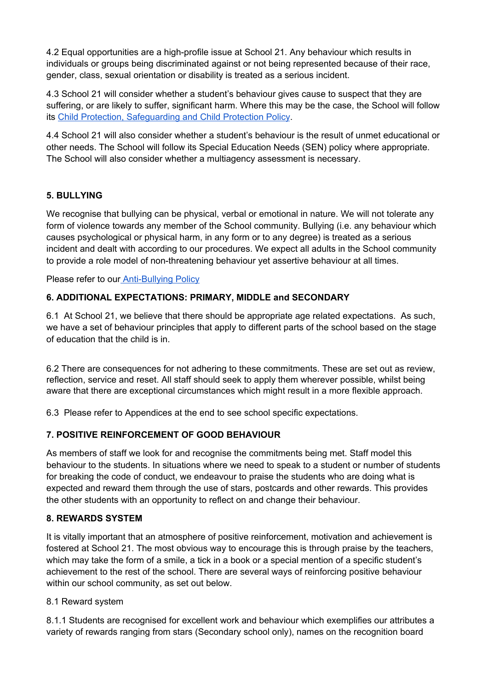4.2 Equal opportunities are a high-profile issue at School 21. Any behaviour which results in individuals or groups being discriminated against or not being represented because of their race, gender, class, sexual orientation or disability is treated as a serious incident.

4.3 School 21 will consider whether a student's behaviour gives cause to suspect that they are suffering, or are likely to suffer, significant harm. Where this may be the case, the School will follow its Child Protection, [Safeguarding](https://drive.google.com/a/school21.org.uk/file/d/0B68uDtK8dVZyQUNtNkFCMllMLXc/view?usp=sharing) and Child Protection Policy.

4.4 School 21 will also consider whether a student's behaviour is the result of unmet educational or other needs. The School will follow its Special Education Needs (SEN) policy where appropriate. The School will also consider whether a multiagency assessment is necessary.

#### **5. BULLYING**

We recognise that bullying can be physical, verbal or emotional in nature. We will not tolerate any form of violence towards any member of the School community. Bullying (i.e. any behaviour which causes psychological or physical harm, in any form or to any degree) is treated as a serious incident and dealt with according to our procedures. We expect all adults in the School community to provide a role model of non-threatening behaviour yet assertive behaviour at all times.

Please refer to our **[Anti-Bullying](https://drive.google.com/file/d/1XnrZL1Dvy5GQRWYE2G9zubKcxFpWCKym/view) Policy** 

#### **6. ADDITIONAL EXPECTATIONS: PRIMARY, MIDDLE and SECONDARY**

6.1 At School 21, we believe that there should be appropriate age related expectations. As such, we have a set of behaviour principles that apply to different parts of the school based on the stage of education that the child is in.

6.2 There are consequences for not adhering to these commitments. These are set out as review, reflection, service and reset. All staff should seek to apply them wherever possible, whilst being aware that there are exceptional circumstances which might result in a more flexible approach.

6.3 Please refer to Appendices at the end to see school specific expectations.

#### **7. POSITIVE REINFORCEMENT OF GOOD BEHAVIOUR**

As members of staff we look for and recognise the commitments being met. Staff model this behaviour to the students. In situations where we need to speak to a student or number of students for breaking the code of conduct, we endeavour to praise the students who are doing what is expected and reward them through the use of stars, postcards and other rewards. This provides the other students with an opportunity to reflect on and change their behaviour.

#### **8. REWARDS SYSTEM**

It is vitally important that an atmosphere of positive reinforcement, motivation and achievement is fostered at School 21. The most obvious way to encourage this is through praise by the teachers, which may take the form of a smile, a tick in a book or a special mention of a specific student's achievement to the rest of the school. There are several ways of reinforcing positive behaviour within our school community, as set out below.

#### 8.1 Reward system

8.1.1 Students are recognised for excellent work and behaviour which exemplifies our attributes a variety of rewards ranging from stars (Secondary school only), names on the recognition board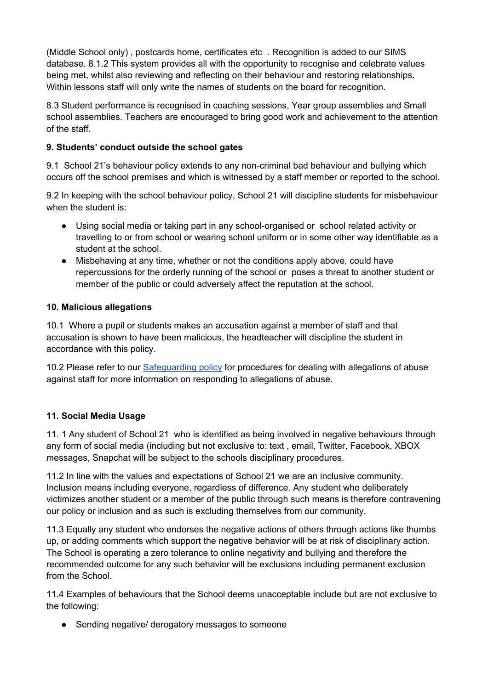(Middle School only) , postcards home, certificates etc . Recognition is added to our SIMS database. 8.1.2 This system provides all with the opportunity to recognise and celebrate values being met, whilst also reviewing and reflecting on their behaviour and restoring relationships. Within lessons staff will only write the names of students on the board for recognition.

8.3 Student performance is recognised in coaching sessions, Year group assemblies and Small school assemblies. Teachers are encouraged to bring good work and achievement to the attention of the staff.

#### **9. Students' conduct outside the school gates**

9.1 School 21's behaviour policy extends to any non-criminal bad behaviour and bullying which occurs off the school premises and which is witnessed by a staff member or reported to the school.

9.2 In keeping with the school behaviour policy, School 21 will discipline students for misbehaviour when the student is:

- Using social media or taking part in any school-organised or school related activity or travelling to or from school or wearing school uniform or in some other way identifiable as a student at the school.
- Misbehaving at any time, whether or not the conditions apply above, could have repercussions for the orderly running of the school or poses a threat to another student or member of the public or could adversely affect the reputation at the school.

#### **10. Malicious allegations**

10.1 Where a pupil or students makes an accusation against a member of staff and that accusation is shown to have been malicious, the headteacher will discipline the student in accordance with this policy.

10.2 Please refer to our [Safeguarding](https://drive.google.com/file/d/1i09Kq2FemayYD8lLUH5Hvd6eHzhB6py0/view) policy for procedures for dealing with allegations of abuse against staff for more information on responding to allegations of abuse.

#### **11. Social Media Usage**

11. 1 Any student of School 21 who is identified as being involved in negative behaviours through any form of social media (including but not exclusive to: text , email, Twitter, Facebook, XBOX messages, Snapchat will be subject to the schools disciplinary procedures.

11.2 In line with the values and expectations of School 21 we are an inclusive community. Inclusion means including everyone, regardless of difference. Any student who deliberately victimizes another student or a member of the public through such means is therefore contravening our policy or inclusion and as such is excluding themselves from our community.

11.3 Equally any student who endorses the negative actions of others through actions like thumbs up, or adding comments which support the negative behavior will be at risk of disciplinary action. The School is operating a zero tolerance to online negativity and bullying and therefore the recommended outcome for any such behavior will be exclusions including permanent exclusion from the School.

11.4 Examples of behaviours that the School deems unacceptable include but are not exclusive to the following:

• Sending negative/ derogatory messages to someone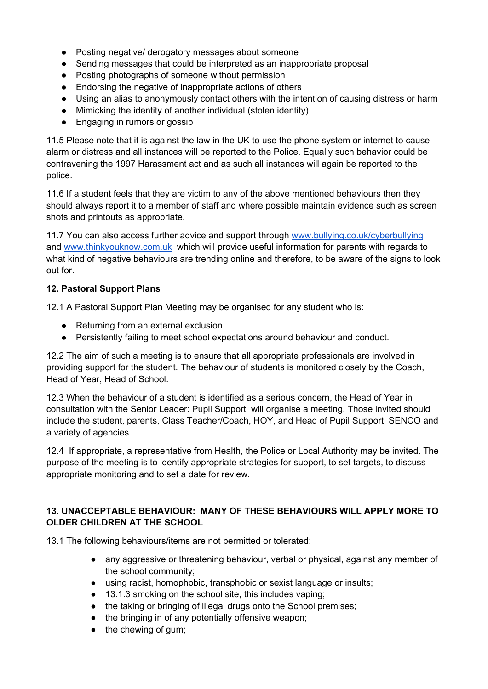- Posting negative/ derogatory messages about someone
- Sending messages that could be interpreted as an inappropriate proposal
- Posting photographs of someone without permission
- Endorsing the negative of inappropriate actions of others
- Using an alias to anonymously contact others with the intention of causing distress or harm
- Mimicking the identity of another individual (stolen identity)
- Engaging in rumors or gossip

11.5 Please note that it is against the law in the UK to use the phone system or internet to cause alarm or distress and all instances will be reported to the Police. Equally such behavior could be contravening the 1997 Harassment act and as such all instances will again be reported to the police.

11.6 If a student feels that they are victim to any of the above mentioned behaviours then they should always report it to a member of staff and where possible maintain evidence such as screen shots and printouts as appropriate.

11.7 You can also access further advice and support through [www.bullying.co.uk/cyberbullying](http://www.bullying.co.uk/cyberbullying) and [www.thinkyouknow.com.uk](http://www.thinkyouknow.com.uk/) which will provide useful information for parents with regards to what kind of negative behaviours are trending online and therefore, to be aware of the signs to look out for.

#### **12. Pastoral Support Plans**

12.1 A Pastoral Support Plan Meeting may be organised for any student who is:

- Returning from an external exclusion
- Persistently failing to meet school expectations around behaviour and conduct.

12.2 The aim of such a meeting is to ensure that all appropriate professionals are involved in providing support for the student. The behaviour of students is monitored closely by the Coach, Head of Year, Head of School.

12.3 When the behaviour of a student is identified as a serious concern, the Head of Year in consultation with the Senior Leader: Pupil Support will organise a meeting. Those invited should include the student, parents, Class Teacher/Coach, HOY, and Head of Pupil Support, SENCO and a variety of agencies.

12.4 If appropriate, a representative from Health, the Police or Local Authority may be invited. The purpose of the meeting is to identify appropriate strategies for support, to set targets, to discuss appropriate monitoring and to set a date for review.

#### **13. UNACCEPTABLE BEHAVIOUR: MANY OF THESE BEHAVIOURS WILL APPLY MORE TO OLDER CHILDREN AT THE SCHOOL**

13.1 The following behaviours/items are not permitted or tolerated:

- any aggressive or threatening behaviour, verbal or physical, against any member of the school community;
- using racist, homophobic, transphobic or sexist language or insults;
- 13.1.3 smoking on the school site, this includes vaping;
- the taking or bringing of illegal drugs onto the School premises;
- the bringing in of any potentially offensive weapon;
- $\bullet$  the chewing of gum;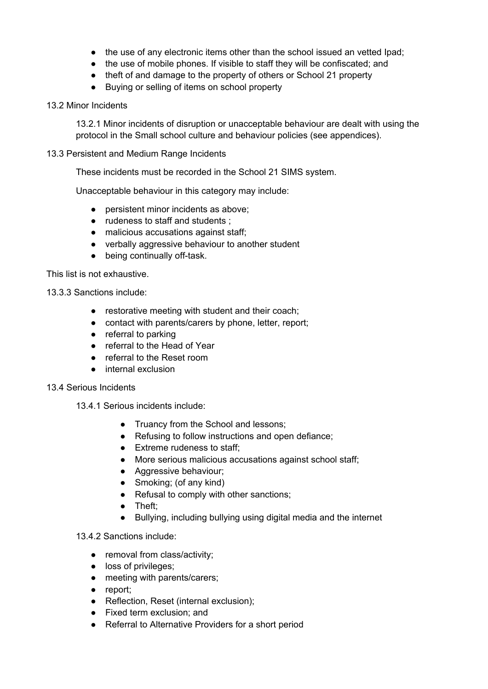- the use of any electronic items other than the school issued an vetted Ipad;
- the use of mobile phones. If visible to staff they will be confiscated; and
- theft of and damage to the property of others or School 21 property
- Buying or selling of items on school property

#### 13.2 Minor Incidents

13.2.1 Minor incidents of disruption or unacceptable behaviour are dealt with using the protocol in the Small school culture and behaviour policies (see appendices).

#### 13.3 Persistent and Medium Range Incidents

These incidents must be recorded in the School 21 SIMS system.

Unacceptable behaviour in this category may include:

- persistent minor incidents as above;
- rudeness to staff and students ;
- malicious accusations against staff;
- verbally aggressive behaviour to another student
- being continually off-task.

This list is not exhaustive.

13.3.3 Sanctions include:

- restorative meeting with student and their coach;
- contact with parents/carers by phone, letter, report;
- referral to parking
- referral to the Head of Year
- referral to the Reset room
- internal exclusion

#### 13.4 Serious Incidents

- 13.4.1 Serious incidents include:
	- Truancy from the School and lessons;
	- Refusing to follow instructions and open defiance;
	- Extreme rudeness to staff;
	- More serious malicious accusations against school staff;
	- Aggressive behaviour;
	- Smoking; (of any kind)
	- Refusal to comply with other sanctions;
	- Theft;
	- Bullying, including bullying using digital media and the internet

#### 13.4.2 Sanctions include:

- removal from class/activity;
- loss of privileges;
- meeting with parents/carers;
- report;
- Reflection, Reset (internal exclusion);
- Fixed term exclusion: and
- Referral to Alternative Providers for a short period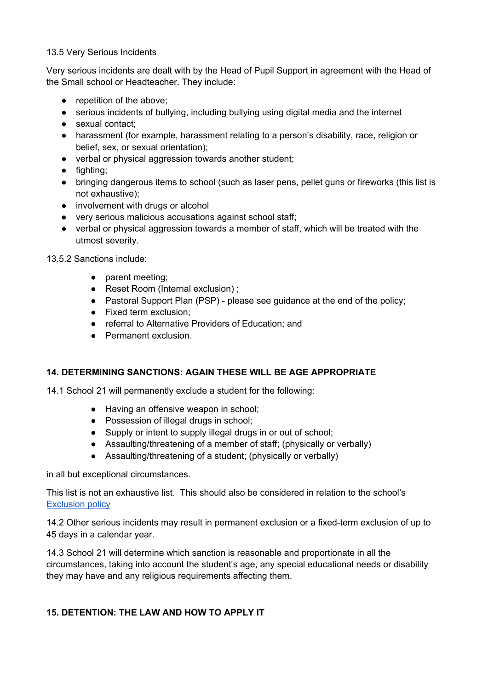#### 13.5 Very Serious Incidents

Very serious incidents are dealt with by the Head of Pupil Support in agreement with the Head of the Small school or Headteacher. They include:

- repetition of the above;
- serious incidents of bullying, including bullying using digital media and the internet
- sexual contact:
- harassment (for example, harassment relating to a person's disability, race, religion or belief, sex, or sexual orientation);
- verbal or physical aggression towards another student;
- fighting;
- bringing dangerous items to school (such as laser pens, pellet guns or fireworks (this list is not exhaustive);
- involvement with drugs or alcohol
- very serious malicious accusations against school staff;
- verbal or physical aggression towards a member of staff, which will be treated with the utmost severity.

13.5.2 Sanctions include:

- parent meeting;
- Reset Room (Internal exclusion);
- Pastoral Support Plan (PSP) please see quidance at the end of the policy;
- Fixed term exclusion;
- referral to Alternative Providers of Education; and
- Permanent exclusion.

#### **14. DETERMINING SANCTIONS: AGAIN THESE WILL BE AGE APPROPRIATE**

14.1 School 21 will permanently exclude a student for the following:

- Having an offensive weapon in school;
- Possession of illegal drugs in school;
- Supply or intent to supply illegal drugs in or out of school;
- Assaulting/threatening of a member of staff; (physically or verbally)
- Assaulting/threatening of a student; (physically or verbally)

in all but exceptional circumstances.

This list is not an exhaustive list. This should also be considered in relation to the school's [Exclusion](https://drive.google.com/file/d/1rTSMRsWKB3iRAjrQPvtiCt-2Q1tfREg4/view) policy

14.2 Other serious incidents may result in permanent exclusion or a fixed-term exclusion of up to 45 days in a calendar year.

14.3 School 21 will determine which sanction is reasonable and proportionate in all the circumstances, taking into account the student's age, any special educational needs or disability they may have and any religious requirements affecting them.

#### **15. DETENTION: THE LAW AND HOW TO APPLY IT**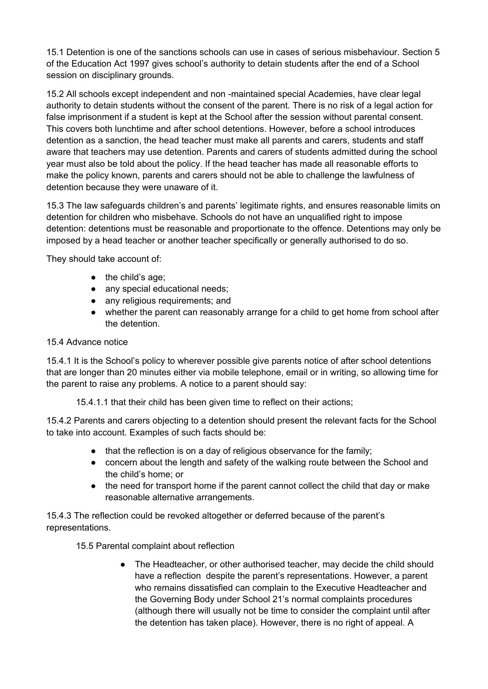15.1 Detention is one of the sanctions schools can use in cases of serious misbehaviour. Section 5 of the Education Act 1997 gives school's authority to detain students after the end of a School session on disciplinary grounds.

15.2 All schools except independent and non -maintained special Academies, have clear legal authority to detain students without the consent of the parent. There is no risk of a legal action for false imprisonment if a student is kept at the School after the session without parental consent. This covers both lunchtime and after school detentions. However, before a school introduces detention as a sanction, the head teacher must make all parents and carers, students and staff aware that teachers may use detention. Parents and carers of students admitted during the school year must also be told about the policy. If the head teacher has made all reasonable efforts to make the policy known, parents and carers should not be able to challenge the lawfulness of detention because they were unaware of it.

15.3 The law safeguards children's and parents' legitimate rights, and ensures reasonable limits on detention for children who misbehave. Schools do not have an unqualified right to impose detention: detentions must be reasonable and proportionate to the offence. Detentions may only be imposed by a head teacher or another teacher specifically or generally authorised to do so.

They should take account of:

- the child's age;
- any special educational needs;
- any religious requirements; and
- whether the parent can reasonably arrange for a child to get home from school after the detention.

#### 15.4 Advance notice

15.4.1 It is the School's policy to wherever possible give parents notice of after school detentions that are longer than 20 minutes either via mobile telephone, email or in writing, so allowing time for the parent to raise any problems. A notice to a parent should say:

15.4.1.1 that their child has been given time to reflect on their actions;

15.4.2 Parents and carers objecting to a detention should present the relevant facts for the School to take into account. Examples of such facts should be:

- that the reflection is on a day of religious observance for the family;
- concern about the length and safety of the walking route between the School and the child's home; or
- the need for transport home if the parent cannot collect the child that day or make reasonable alternative arrangements.

15.4.3 The reflection could be revoked altogether or deferred because of the parent's representations.

15.5 Parental complaint about reflection

• The Headteacher, or other authorised teacher, may decide the child should have a reflection despite the parent's representations. However, a parent who remains dissatisfied can complain to the Executive Headteacher and the Governing Body under School 21's normal complaints procedures (although there will usually not be time to consider the complaint until after the detention has taken place). However, there is no right of appeal. A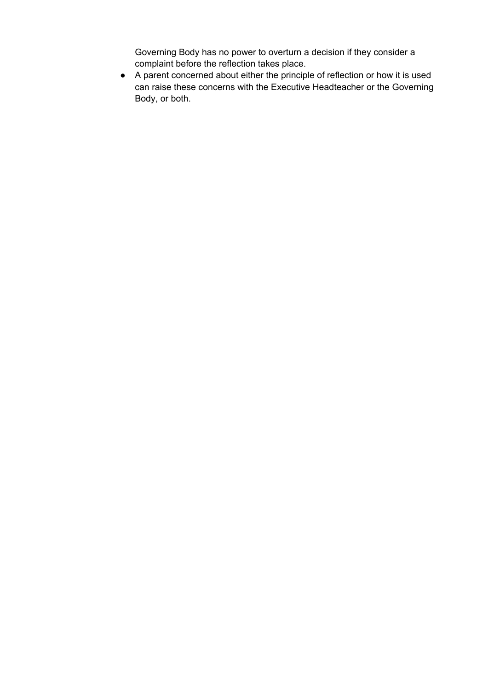Governing Body has no power to overturn a decision if they consider a complaint before the reflection takes place.

● A parent concerned about either the principle of reflection or how it is used can raise these concerns with the Executive Headteacher or the Governing Body, or both.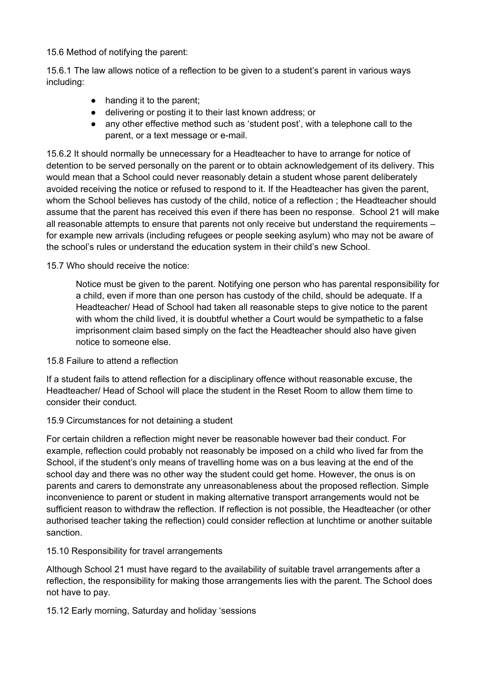15.6 Method of notifying the parent:

15.6.1 The law allows notice of a reflection to be given to a student's parent in various ways including:

- handing it to the parent;
- delivering or posting it to their last known address; or
- any other effective method such as 'student post', with a telephone call to the parent, or a text message or e-mail.

15.6.2 It should normally be unnecessary for a Headteacher to have to arrange for notice of detention to be served personally on the parent or to obtain acknowledgement of its delivery. This would mean that a School could never reasonably detain a student whose parent deliberately avoided receiving the notice or refused to respond to it. If the Headteacher has given the parent, whom the School believes has custody of the child, notice of a reflection ; the Headteacher should assume that the parent has received this even if there has been no response. School 21 will make all reasonable attempts to ensure that parents not only receive but understand the requirements – for example new arrivals (including refugees or people seeking asylum) who may not be aware of the school's rules or understand the education system in their child's new School.

#### 15.7 Who should receive the notice:

Notice must be given to the parent. Notifying one person who has parental responsibility for a child, even if more than one person has custody of the child, should be adequate. If a Headteacher/ Head of School had taken all reasonable steps to give notice to the parent with whom the child lived, it is doubtful whether a Court would be sympathetic to a false imprisonment claim based simply on the fact the Headteacher should also have given notice to someone else.

#### 15.8 Failure to attend a reflection

If a student fails to attend reflection for a disciplinary offence without reasonable excuse, the Headteacher/ Head of School will place the student in the Reset Room to allow them time to consider their conduct.

#### 15.9 Circumstances for not detaining a student

For certain children a reflection might never be reasonable however bad their conduct. For example, reflection could probably not reasonably be imposed on a child who lived far from the School, if the student's only means of travelling home was on a bus leaving at the end of the school day and there was no other way the student could get home. However, the onus is on parents and carers to demonstrate any unreasonableness about the proposed reflection. Simple inconvenience to parent or student in making alternative transport arrangements would not be sufficient reason to withdraw the reflection. If reflection is not possible, the Headteacher (or other authorised teacher taking the reflection) could consider reflection at lunchtime or another suitable sanction.

#### 15.10 Responsibility for travel arrangements

Although School 21 must have regard to the availability of suitable travel arrangements after a reflection, the responsibility for making those arrangements lies with the parent. The School does not have to pay.

15.12 Early morning, Saturday and holiday 'sessions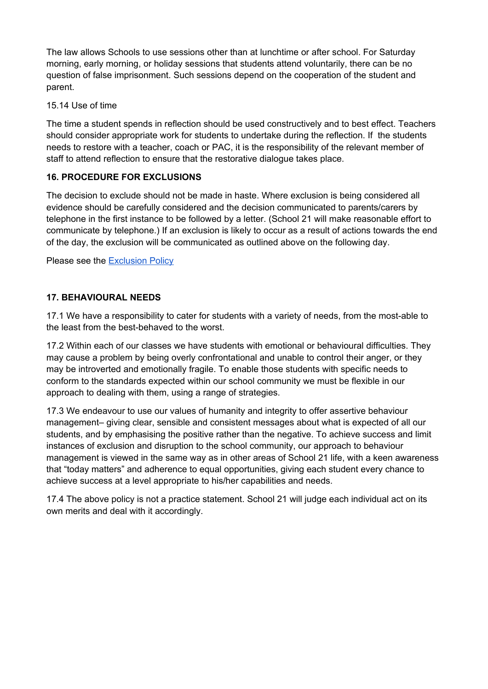The law allows Schools to use sessions other than at lunchtime or after school. For Saturday morning, early morning, or holiday sessions that students attend voluntarily, there can be no question of false imprisonment. Such sessions depend on the cooperation of the student and parent.

#### 15.14 Use of time

The time a student spends in reflection should be used constructively and to best effect. Teachers should consider appropriate work for students to undertake during the reflection. If the students needs to restore with a teacher, coach or PAC, it is the responsibility of the relevant member of staff to attend reflection to ensure that the restorative dialogue takes place.

#### **16. PROCEDURE FOR EXCLUSIONS**

The decision to exclude should not be made in haste. Where exclusion is being considered all evidence should be carefully considered and the decision communicated to parents/carers by telephone in the first instance to be followed by a letter. (School 21 will make reasonable effort to communicate by telephone.) If an exclusion is likely to occur as a result of actions towards the end of the day, the exclusion will be communicated as outlined above on the following day.

Please see the **[Exclusion](https://drive.google.com/file/d/1rTSMRsWKB3iRAjrQPvtiCt-2Q1tfREg4/view) Policy** 

#### **17. BEHAVIOURAL NEEDS**

17.1 We have a responsibility to cater for students with a variety of needs, from the most-able to the least from the best-behaved to the worst.

17.2 Within each of our classes we have students with emotional or behavioural difficulties. They may cause a problem by being overly confrontational and unable to control their anger, or they may be introverted and emotionally fragile. To enable those students with specific needs to conform to the standards expected within our school community we must be flexible in our approach to dealing with them, using a range of strategies.

17.3 We endeavour to use our values of humanity and integrity to offer assertive behaviour management– giving clear, sensible and consistent messages about what is expected of all our students, and by emphasising the positive rather than the negative. To achieve success and limit instances of exclusion and disruption to the school community, our approach to behaviour management is viewed in the same way as in other areas of School 21 life, with a keen awareness that "today matters" and adherence to equal opportunities, giving each student every chance to achieve success at a level appropriate to his/her capabilities and needs.

17.4 The above policy is not a practice statement. School 21 will judge each individual act on its own merits and deal with it accordingly.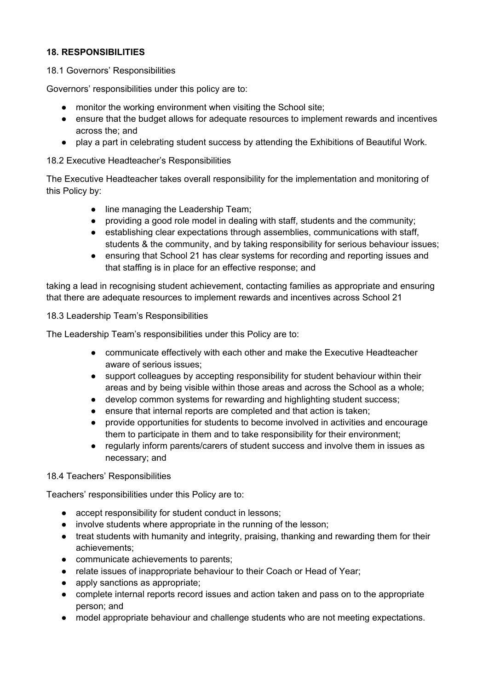#### **18. RESPONSIBILITIES**

#### 18.1 Governors' Responsibilities

Governors' responsibilities under this policy are to:

- monitor the working environment when visiting the School site;
- ensure that the budget allows for adequate resources to implement rewards and incentives across the; and
- play a part in celebrating student success by attending the Exhibitions of Beautiful Work.

18.2 Executive Headteacher's Responsibilities

The Executive Headteacher takes overall responsibility for the implementation and monitoring of this Policy by:

- line managing the Leadership Team;
- providing a good role model in dealing with staff, students and the community;
- establishing clear expectations through assemblies, communications with staff, students & the community, and by taking responsibility for serious behaviour issues;
- ensuring that School 21 has clear systems for recording and reporting issues and that staffing is in place for an effective response; and

taking a lead in recognising student achievement, contacting families as appropriate and ensuring that there are adequate resources to implement rewards and incentives across School 21

18.3 Leadership Team's Responsibilities

The Leadership Team's responsibilities under this Policy are to:

- communicate effectively with each other and make the Executive Headteacher aware of serious issues;
- support colleagues by accepting responsibility for student behaviour within their areas and by being visible within those areas and across the School as a whole;
- develop common systems for rewarding and highlighting student success;
- ensure that internal reports are completed and that action is taken;
- provide opportunities for students to become involved in activities and encourage them to participate in them and to take responsibility for their environment;
- regularly inform parents/carers of student success and involve them in issues as necessary; and

#### 18.4 Teachers' Responsibilities

Teachers' responsibilities under this Policy are to:

- accept responsibility for student conduct in lessons;
- involve students where appropriate in the running of the lesson;
- treat students with humanity and integrity, praising, thanking and rewarding them for their achievements;
- communicate achievements to parents;
- relate issues of inappropriate behaviour to their Coach or Head of Year;
- apply sanctions as appropriate;
- complete internal reports record issues and action taken and pass on to the appropriate person; and
- model appropriate behaviour and challenge students who are not meeting expectations.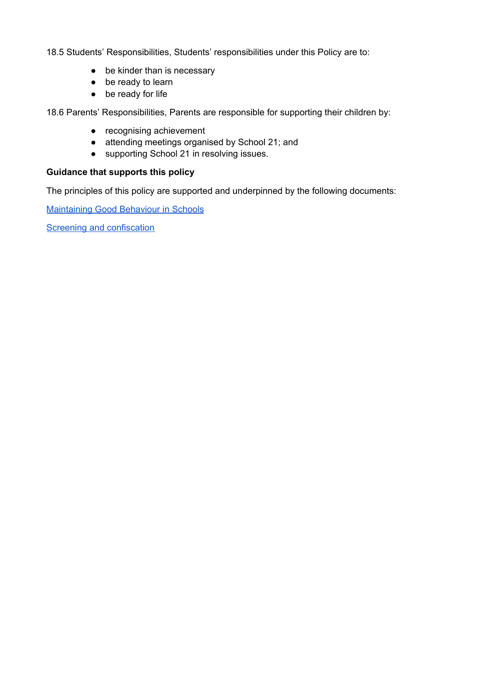18.5 Students' Responsibilities, Students' responsibilities under this Policy are to:

- be kinder than is necessary
- be ready to learn
- be ready for life

18.6 Parents' Responsibilities, Parents are responsible for supporting their children by:

- recognising achievement
- attending meetings organised by School 21; and
- supporting School 21 in resolving issues.

#### **Guidance that supports this policy**

The principles of this policy are supported and underpinned by the following documents:

[Maintaining](https://assets.publishing.service.gov.uk/government/uploads/system/uploads/attachment_data/file/488034/Behaviour_and_Discipline_in_Schools_-_A_guide_for_headteachers_and_School_Staff.pdf) Good Behaviour in Schools

**Screening and [confiscation](https://assets.publishing.service.gov.uk/government/uploads/system/uploads/attachment_data/file/674416/Searching_screening_and_confiscation.pdf)**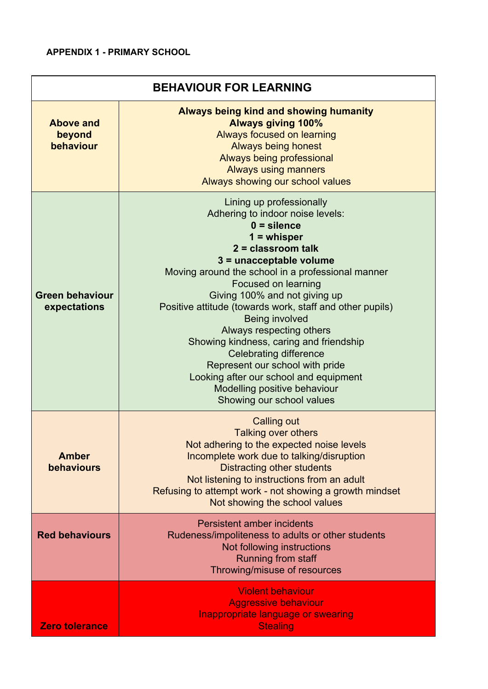#### **APPENDIX 1 - PRIMARY SCHOOL**

| <b>BEHAVIOUR FOR LEARNING</b>                                                                                                                                                                                                                                                     |                                                                                                                                                                                                                                                                                                                                                                                                                                                                                                                                                                                                |  |  |
|-----------------------------------------------------------------------------------------------------------------------------------------------------------------------------------------------------------------------------------------------------------------------------------|------------------------------------------------------------------------------------------------------------------------------------------------------------------------------------------------------------------------------------------------------------------------------------------------------------------------------------------------------------------------------------------------------------------------------------------------------------------------------------------------------------------------------------------------------------------------------------------------|--|--|
| <b>Always being kind and showing humanity</b><br><b>Always giving 100%</b><br><b>Above and</b><br>Always focused on learning<br>beyond<br>behaviour<br><b>Always being honest</b><br>Always being professional<br><b>Always using manners</b><br>Always showing our school values |                                                                                                                                                                                                                                                                                                                                                                                                                                                                                                                                                                                                |  |  |
| <b>Green behaviour</b><br>expectations                                                                                                                                                                                                                                            | Lining up professionally<br>Adhering to indoor noise levels:<br>$0 =$ silence<br>$1 =$ whisper<br>$2 =$ classroom talk<br>3 = unacceptable volume<br>Moving around the school in a professional manner<br>Focused on learning<br>Giving 100% and not giving up<br>Positive attitude (towards work, staff and other pupils)<br>Being involved<br>Always respecting others<br>Showing kindness, caring and friendship<br><b>Celebrating difference</b><br>Represent our school with pride<br>Looking after our school and equipment<br>Modelling positive behaviour<br>Showing our school values |  |  |
| <b>Amber</b><br>behaviours                                                                                                                                                                                                                                                        | <b>Calling out</b><br>Talking over others<br>Not adhering to the expected noise levels<br>Incomplete work due to talking/disruption<br><b>Distracting other students</b><br>Not listening to instructions from an adult<br>Refusing to attempt work - not showing a growth mindset<br>Not showing the school values                                                                                                                                                                                                                                                                            |  |  |
| <b>Red behaviours</b>                                                                                                                                                                                                                                                             | Persistent amber incidents<br>Rudeness/impoliteness to adults or other students<br>Not following instructions<br>Running from staff<br>Throwing/misuse of resources                                                                                                                                                                                                                                                                                                                                                                                                                            |  |  |
| Zero tolerance                                                                                                                                                                                                                                                                    | <b>Violent behaviour</b><br><b>Aggressive behaviour</b><br><b>Inappropriate language or swearing</b><br><b>Stealing</b>                                                                                                                                                                                                                                                                                                                                                                                                                                                                        |  |  |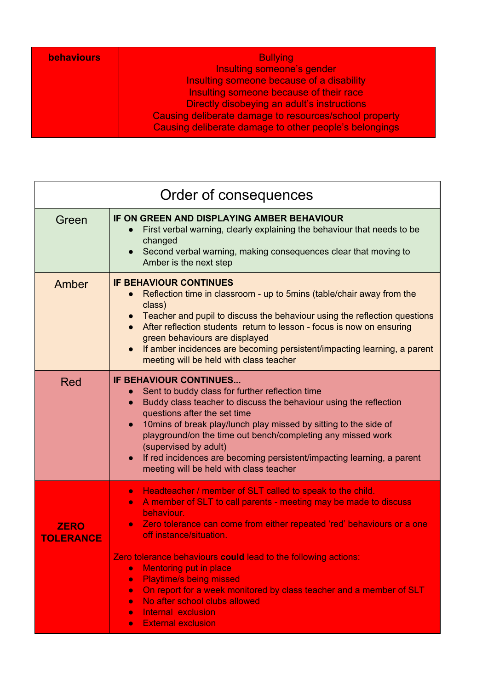| <b>behaviours</b> | <b>Bullying</b>                                        |
|-------------------|--------------------------------------------------------|
|                   |                                                        |
|                   | Insulting someone's gender                             |
|                   | Insulting someone because of a disability              |
|                   | Insulting someone because of their race                |
|                   | Directly disobeying an adult's instructions            |
|                   | Causing deliberate damage to resources/school property |
|                   | Causing deliberate damage to other people's belongings |

| Order of consequences           |                                                                                                                                                                                                                                                                                                                                                                                                                                                                                                                                                                                                                                                          |  |  |
|---------------------------------|----------------------------------------------------------------------------------------------------------------------------------------------------------------------------------------------------------------------------------------------------------------------------------------------------------------------------------------------------------------------------------------------------------------------------------------------------------------------------------------------------------------------------------------------------------------------------------------------------------------------------------------------------------|--|--|
| Green                           | IF ON GREEN AND DISPLAYING AMBER BEHAVIOUR<br>First verbal warning, clearly explaining the behaviour that needs to be<br>$\bullet$<br>changed<br>Second verbal warning, making consequences clear that moving to<br>$\bullet$<br>Amber is the next step                                                                                                                                                                                                                                                                                                                                                                                                  |  |  |
| Amber                           | <b>IF BEHAVIOUR CONTINUES</b><br>Reflection time in classroom - up to 5mins (table/chair away from the<br>class)<br>Teacher and pupil to discuss the behaviour using the reflection questions<br>$\bullet$<br>After reflection students return to lesson - focus is now on ensuring<br>green behaviours are displayed<br>If amber incidences are becoming persistent/impacting learning, a parent<br>$\bullet$<br>meeting will be held with class teacher                                                                                                                                                                                                |  |  |
| Red                             | <b>IF BEHAVIOUR CONTINUES</b><br>Sent to buddy class for further reflection time<br>$\bullet$<br>Buddy class teacher to discuss the behaviour using the reflection<br>$\bullet$<br>questions after the set time<br>10mins of break play/lunch play missed by sitting to the side of<br>$\bullet$<br>playground/on the time out bench/completing any missed work<br>(supervised by adult)<br>If red incidences are becoming persistent/impacting learning, a parent<br>$\bullet$<br>meeting will be held with class teacher                                                                                                                               |  |  |
| <b>ZERO</b><br><b>TOLERANCE</b> | Headteacher / member of SLT called to speak to the child.<br>$\bullet$<br>A member of SLT to call parents - meeting may be made to discuss<br>$\bullet$<br>behaviour.<br>Zero tolerance can come from either repeated 'red' behaviours or a one<br>off instance/situation.<br>Zero tolerance behaviours could lead to the following actions:<br><b>Mentoring put in place</b><br>$\bullet$<br><b>Playtime/s being missed</b><br>$\bullet$<br>On report for a week monitored by class teacher and a member of SLT<br>$\bullet$<br>No after school clubs allowed<br>$\bullet$<br>Internal exclusion<br>$\bullet$<br><b>External exclusion</b><br>$\bullet$ |  |  |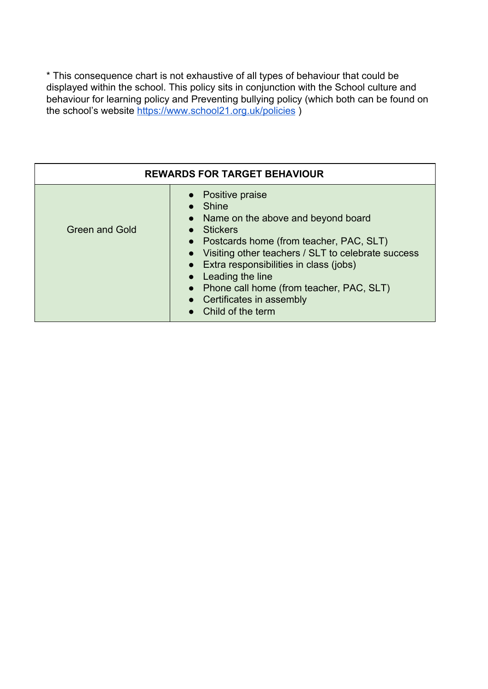\* This consequence chart is not exhaustive of all types of behaviour that could be displayed within the school. This policy sits in conjunction with the School culture and behaviour for learning policy and Preventing bullying policy (which both can be found on the school's website<https://www.school21.org.uk/policies> )

| <b>REWARDS FOR TARGET BEHAVIOUR</b> |                                                                                                                                                                                                                                                                                                                                                                      |  |  |
|-------------------------------------|----------------------------------------------------------------------------------------------------------------------------------------------------------------------------------------------------------------------------------------------------------------------------------------------------------------------------------------------------------------------|--|--|
| <b>Green and Gold</b>               | • Positive praise<br>$\bullet$ Shine<br>• Name on the above and beyond board<br>• Stickers<br>• Postcards home (from teacher, PAC, SLT)<br>• Visiting other teachers / SLT to celebrate success<br>• Extra responsibilities in class (jobs)<br>• Leading the line<br>• Phone call home (from teacher, PAC, SLT)<br>• Certificates in assembly<br>• Child of the term |  |  |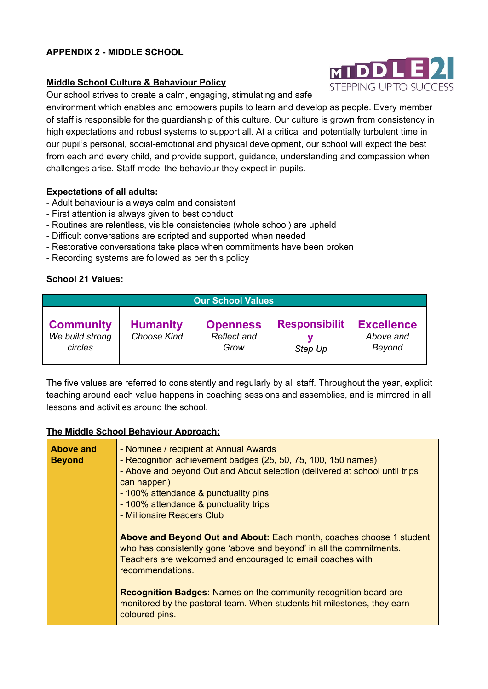#### **APPENDIX 2 - MIDDLE SCHOOL**

#### **Middle School Culture & Behaviour Policy**

Our school strives to create a calm, engaging, stimulating and safe

environment which enables and empowers pupils to learn and develop as people. Every member of staff is responsible for the guardianship of this culture. Our culture is grown from consistency in high expectations and robust systems to support all. At a critical and potentially turbulent time in our pupil's personal, social-emotional and physical development, our school will expect the best from each and every child, and provide support, guidance, understanding and compassion when challenges arise. Staff model the behaviour they expect in pupils.

#### **Expectations of all adults:**

- Adult behaviour is always calm and consistent
- First attention is always given to best conduct
- Routines are relentless, visible consistencies (whole school) are upheld
- Difficult conversations are scripted and supported when needed
- Restorative conversations take place when commitments have been broken
- Recording systems are followed as per this policy

#### **School 21 Values:**

| <b>Our School Values</b>                       |                                       |                                        |                                 |                                          |
|------------------------------------------------|---------------------------------------|----------------------------------------|---------------------------------|------------------------------------------|
| <b>Community</b><br>We build strong<br>circles | <b>Humanity</b><br><b>Choose Kind</b> | <b>Openness</b><br>Reflect and<br>Grow | <b>Responsibilit</b><br>Step Up | <b>Excellence</b><br>Above and<br>Beyond |

The five values are referred to consistently and regularly by all staff. Throughout the year, explicit teaching around each value happens in coaching sessions and assemblies, and is mirrored in all lessons and activities around the school.

#### **The Middle School Behaviour Approach:**

| <b>Above and</b><br><b>Beyond</b> | - Nominee / recipient at Annual Awards<br>- Recognition achievement badges (25, 50, 75, 100, 150 names)<br>- Above and beyond Out and About selection (delivered at school until trips<br>can happen)<br>- 100% attendance & punctuality pins<br>- 100% attendance & punctuality trips |  |  |
|-----------------------------------|----------------------------------------------------------------------------------------------------------------------------------------------------------------------------------------------------------------------------------------------------------------------------------------|--|--|
|                                   | - Millionaire Readers Club<br>Above and Beyond Out and About: Each month, coaches choose 1 student<br>who has consistently gone 'above and beyond' in all the commitments.<br>Teachers are welcomed and encouraged to email coaches with<br>recommendations.                           |  |  |
|                                   | <b>Recognition Badges: Names on the community recognition board are</b><br>monitored by the pastoral team. When students hit milestones, they earn<br>coloured pins.                                                                                                                   |  |  |

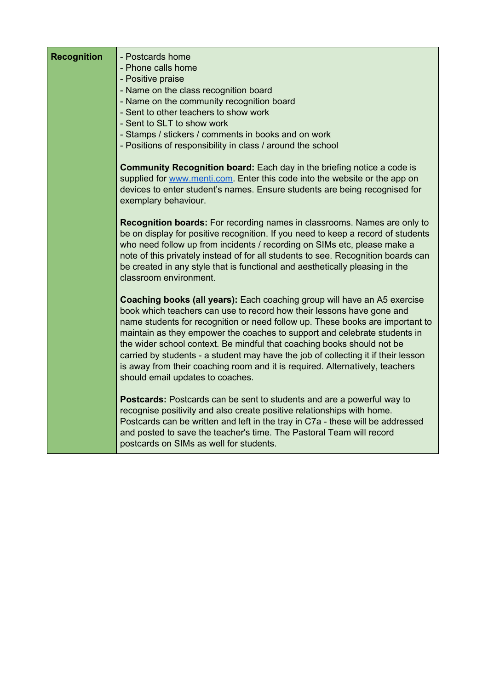| <b>Recognition</b> | - Postcards home<br>- Phone calls home<br>- Positive praise<br>- Name on the class recognition board<br>- Name on the community recognition board<br>- Sent to other teachers to show work<br>- Sent to SLT to show work<br>- Stamps / stickers / comments in books and on work<br>- Positions of responsibility in class / around the school                                                                                                                                                                                                                                                             |
|--------------------|-----------------------------------------------------------------------------------------------------------------------------------------------------------------------------------------------------------------------------------------------------------------------------------------------------------------------------------------------------------------------------------------------------------------------------------------------------------------------------------------------------------------------------------------------------------------------------------------------------------|
|                    | <b>Community Recognition board:</b> Each day in the briefing notice a code is<br>supplied for www.menti.com. Enter this code into the website or the app on<br>devices to enter student's names. Ensure students are being recognised for<br>exemplary behaviour.                                                                                                                                                                                                                                                                                                                                         |
|                    | <b>Recognition boards:</b> For recording names in classrooms. Names are only to<br>be on display for positive recognition. If you need to keep a record of students<br>who need follow up from incidents / recording on SIMs etc, please make a<br>note of this privately instead of for all students to see. Recognition boards can<br>be created in any style that is functional and aesthetically pleasing in the<br>classroom environment.                                                                                                                                                            |
|                    | <b>Coaching books (all years):</b> Each coaching group will have an A5 exercise<br>book which teachers can use to record how their lessons have gone and<br>name students for recognition or need follow up. These books are important to<br>maintain as they empower the coaches to support and celebrate students in<br>the wider school context. Be mindful that coaching books should not be<br>carried by students - a student may have the job of collecting it if their lesson<br>is away from their coaching room and it is required. Alternatively, teachers<br>should email updates to coaches. |
|                    | <b>Postcards:</b> Postcards can be sent to students and are a powerful way to<br>recognise positivity and also create positive relationships with home.<br>Postcards can be written and left in the tray in C7a - these will be addressed<br>and posted to save the teacher's time. The Pastoral Team will record<br>postcards on SIMs as well for students.                                                                                                                                                                                                                                              |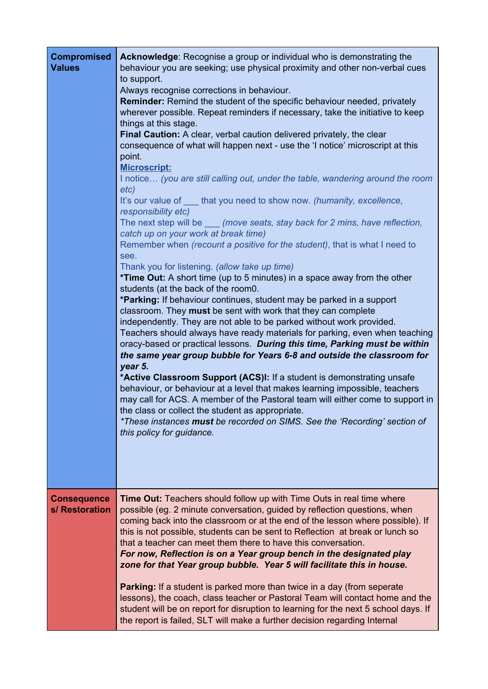| <b>Compromised</b><br><b>Values</b>  | Acknowledge: Recognise a group or individual who is demonstrating the<br>behaviour you are seeking; use physical proximity and other non-verbal cues<br>to support.<br>Always recognise corrections in behaviour.<br><b>Reminder:</b> Remind the student of the specific behaviour needed, privately<br>wherever possible. Repeat reminders if necessary, take the initiative to keep<br>things at this stage.<br>Final Caution: A clear, verbal caution delivered privately, the clear<br>consequence of what will happen next - use the 'I notice' microscript at this<br>point.<br><b>Microscript:</b><br>I notice (you are still calling out, under the table, wandering around the room<br>etc)<br>It's our value of ____that you need to show now. (humanity, excellence,<br>responsibility etc)<br>The next step will be (move seats, stay back for 2 mins, have reflection,<br>catch up on your work at break time)<br>Remember when (recount a positive for the student), that is what I need to<br>see.<br>Thank you for listening. (allow take up time)<br>*Time Out: A short time (up to 5 minutes) in a space away from the other<br>students (at the back of the room0.<br>*Parking: If behaviour continues, student may be parked in a support<br>classroom. They must be sent with work that they can complete<br>independently. They are not able to be parked without work provided.<br>Teachers should always have ready materials for parking, even when teaching<br>oracy-based or practical lessons. During this time, Parking must be within<br>the same year group bubble for Years 6-8 and outside the classroom for<br>year 5.<br>*Active Classroom Support (ACS)I: If a student is demonstrating unsafe<br>behaviour, or behaviour at a level that makes learning impossible, teachers<br>may call for ACS. A member of the Pastoral team will either come to support in<br>the class or collect the student as appropriate.<br>*These instances must be recorded on SIMS. See the 'Recording' section of<br>this policy for guidance. |
|--------------------------------------|-------------------------------------------------------------------------------------------------------------------------------------------------------------------------------------------------------------------------------------------------------------------------------------------------------------------------------------------------------------------------------------------------------------------------------------------------------------------------------------------------------------------------------------------------------------------------------------------------------------------------------------------------------------------------------------------------------------------------------------------------------------------------------------------------------------------------------------------------------------------------------------------------------------------------------------------------------------------------------------------------------------------------------------------------------------------------------------------------------------------------------------------------------------------------------------------------------------------------------------------------------------------------------------------------------------------------------------------------------------------------------------------------------------------------------------------------------------------------------------------------------------------------------------------------------------------------------------------------------------------------------------------------------------------------------------------------------------------------------------------------------------------------------------------------------------------------------------------------------------------------------------------------------------------------------------------------------------------------------------------------------------------------------------------------------------------|
| <b>Consequence</b><br>s/ Restoration | Time Out: Teachers should follow up with Time Outs in real time where<br>possible (eg. 2 minute conversation, guided by reflection questions, when<br>coming back into the classroom or at the end of the lesson where possible). If<br>this is not possible, students can be sent to Reflection at break or lunch so<br>that a teacher can meet them there to have this conversation.<br>For now, Reflection is on a Year group bench in the designated play<br>zone for that Year group bubble. Year 5 will facilitate this in house.<br><b>Parking:</b> If a student is parked more than twice in a day (from seperate<br>lessons), the coach, class teacher or Pastoral Team will contact home and the<br>student will be on report for disruption to learning for the next 5 school days. If<br>the report is failed, SLT will make a further decision regarding Internal                                                                                                                                                                                                                                                                                                                                                                                                                                                                                                                                                                                                                                                                                                                                                                                                                                                                                                                                                                                                                                                                                                                                                                                    |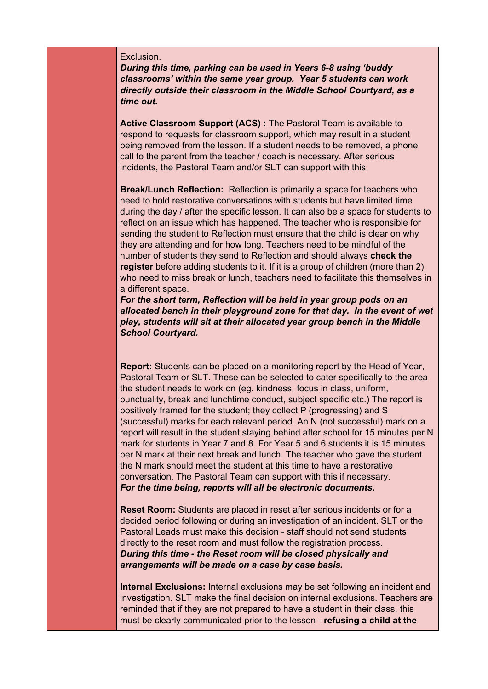#### Exclusion.

*During this time, parking can be used in Years 6-8 using 'buddy classrooms' within the same year group. Year 5 students can work directly outside their classroom in the Middle School Courtyard, as a time out.*

**Active Classroom Support (ACS) :** The Pastoral Team is available to respond to requests for classroom support, which may result in a student being removed from the lesson. If a student needs to be removed, a phone call to the parent from the teacher / coach is necessary. After serious incidents, the Pastoral Team and/or SLT can support with this.

**Break/Lunch Reflection:** Reflection is primarily a space for teachers who need to hold restorative conversations with students but have limited time during the day / after the specific lesson. It can also be a space for students to reflect on an issue which has happened. The teacher who is responsible for sending the student to Reflection must ensure that the child is clear on why they are attending and for how long. Teachers need to be mindful of the number of students they send to Reflection and should always **check the register** before adding students to it. If it is a group of children (more than 2) who need to miss break or lunch, teachers need to facilitate this themselves in a different space.

*For the short term, Reflection will be held in year group pods on an allocated bench in their playground zone for that day. In the event of wet play, students will sit at their allocated year group bench in the Middle School Courtyard.*

**Report:** Students can be placed on a monitoring report by the Head of Year, Pastoral Team or SLT. These can be selected to cater specifically to the area the student needs to work on (eg. kindness, focus in class, uniform, punctuality, break and lunchtime conduct, subject specific etc.) The report is positively framed for the student; they collect P (progressing) and S (successful) marks for each relevant period. An N (not successful) mark on a report will result in the student staying behind after school for 15 minutes per N mark for students in Year 7 and 8. For Year 5 and 6 students it is 15 minutes per N mark at their next break and lunch. The teacher who gave the student the N mark should meet the student at this time to have a restorative conversation. The Pastoral Team can support with this if necessary. *For the time being, reports will all be electronic documents.*

**Reset Room:** Students are placed in reset after serious incidents or for a decided period following or during an investigation of an incident. SLT or the Pastoral Leads must make this decision - staff should not send students directly to the reset room and must follow the registration process. *During this time - the Reset room will be closed physically and arrangements will be made on a case by case basis.*

**Internal Exclusions:** Internal exclusions may be set following an incident and investigation. SLT make the final decision on internal exclusions. Teachers are reminded that if they are not prepared to have a student in their class, this must be clearly communicated prior to the lesson - **refusing a child at the**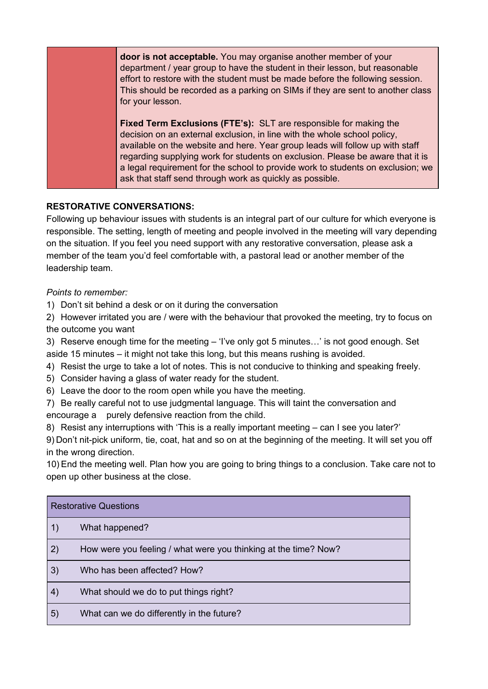**door is not acceptable.** You may organise another member of your department / year group to have the student in their lesson, but reasonable effort to restore with the student must be made before the following session. This should be recorded as a parking on SIMs if they are sent to another class for your lesson.

**Fixed Term Exclusions (FTE's):** SLT are responsible for making the decision on an external exclusion, in line with the whole school policy, available on the website and here. Year group leads will follow up with staff regarding supplying work for students on exclusion. Please be aware that it is a legal requirement for the school to provide work to students on exclusion; we ask that staff send through work as quickly as possible.

#### **RESTORATIVE CONVERSATIONS:**

Following up behaviour issues with students is an integral part of our culture for which everyone is responsible. The setting, length of meeting and people involved in the meeting will vary depending on the situation. If you feel you need support with any restorative conversation, please ask a member of the team you'd feel comfortable with, a pastoral lead or another member of the leadership team.

*Points to remember:*

1) Don't sit behind a desk or on it during the conversation

2) However irritated you are / were with the behaviour that provoked the meeting, try to focus on the outcome you want

3) Reserve enough time for the meeting – 'I've only got 5 minutes…' is not good enough. Set aside 15 minutes – it might not take this long, but this means rushing is avoided.

- 4) Resist the urge to take a lot of notes. This is not conducive to thinking and speaking freely.
- 5) Consider having a glass of water ready for the student.
- 6) Leave the door to the room open while you have the meeting.
- 7) Be really careful not to use judgmental language. This will taint the conversation and encourage a purely defensive reaction from the child.

8) Resist any interruptions with 'This is a really important meeting – can I see you later?'

9) Don't nit-pick uniform, tie, coat, hat and so on at the beginning of the meeting. It will set you off in the wrong direction.

10) End the meeting well. Plan how you are going to bring things to a conclusion. Take care not to open up other business at the close.

| <b>Restorative Questions</b> |                                                                 |  |
|------------------------------|-----------------------------------------------------------------|--|
| 1)                           | What happened?                                                  |  |
| 2)                           | How were you feeling / what were you thinking at the time? Now? |  |
| 3)                           | Who has been affected? How?                                     |  |
| 4)                           | What should we do to put things right?                          |  |
| 5)                           | What can we do differently in the future?                       |  |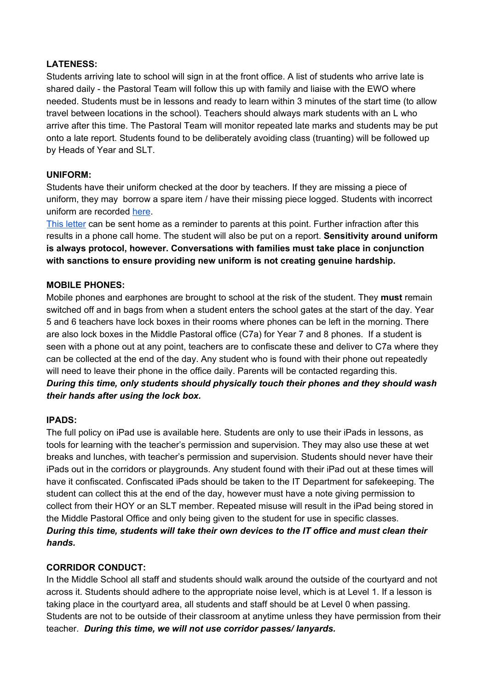#### **LATENESS:**

Students arriving late to school will sign in at the front office. A list of students who arrive late is shared daily - the Pastoral Team will follow this up with family and liaise with the EWO where needed. Students must be in lessons and ready to learn within 3 minutes of the start time (to allow travel between locations in the school). Teachers should always mark students with an L who arrive after this time. The Pastoral Team will monitor repeated late marks and students may be put onto a late report. Students found to be deliberately avoiding class (truanting) will be followed up by Heads of Year and SLT.

#### **UNIFORM:**

Students have their uniform checked at the door by teachers. If they are missing a piece of uniform, they may borrow a spare item / have their missing piece logged. Students with incorrect uniform are recorded [here.](https://forms.gle/gkjxUc9t5t8dQHKTA)

This [letter](https://docs.google.com/document/d/1GhZuZ0Pj6wa3z7D4EoX3z6tS2EyMZyYB3CYuatK6V_s/edit) can be sent home as a reminder to parents at this point. Further infraction after this results in a phone call home. The student will also be put on a report. **Sensitivity around uniform is always protocol, however. Conversations with families must take place in conjunction with sanctions to ensure providing new uniform is not creating genuine hardship.**

#### **MOBILE PHONES:**

Mobile phones and earphones are brought to school at the risk of the student. They **must** remain switched off and in bags from when a student enters the school gates at the start of the day. Year 5 and 6 teachers have lock boxes in their rooms where phones can be left in the morning. There are also lock boxes in the Middle Pastoral office (C7a) for Year 7 and 8 phones. If a student is seen with a phone out at any point, teachers are to confiscate these and deliver to C7a where they can be collected at the end of the day. Any student who is found with their phone out repeatedly will need to leave their phone in the office daily. Parents will be contacted regarding this. *During this time, only students should physically touch their phones and they should wash their hands after using the lock box.*

#### **IPADS:**

The full policy on iPad use is available here. Students are only to use their iPads in lessons, as tools for learning with the teacher's permission and supervision. They may also use these at wet breaks and lunches, with teacher's permission and supervision. Students should never have their iPads out in the corridors or playgrounds. Any student found with their iPad out at these times will have it confiscated. Confiscated iPads should be taken to the IT Department for safekeeping. The student can collect this at the end of the day, however must have a note giving permission to collect from their HOY or an SLT member. Repeated misuse will result in the iPad being stored in the Middle Pastoral Office and only being given to the student for use in specific classes. *During this time, students will take their own devices to the IT office and must clean their hands.*

#### **CORRIDOR CONDUCT:**

In the Middle School all staff and students should walk around the outside of the courtyard and not across it. Students should adhere to the appropriate noise level, which is at Level 1. If a lesson is taking place in the courtyard area, all students and staff should be at Level 0 when passing. Students are not to be outside of their classroom at anytime unless they have permission from their teacher. *During this time, we will not use corridor passes/ lanyards.*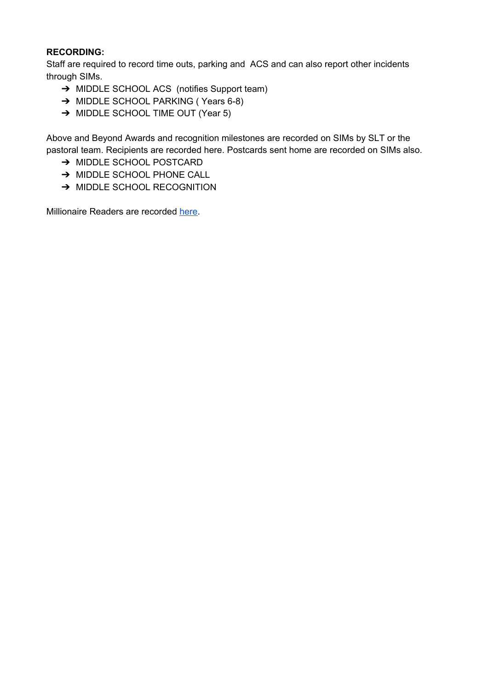#### **RECORDING:**

Staff are required to record time outs, parking and ACS and can also report other incidents through SIMs.

- → MIDDLE SCHOOL ACS (notifies Support team)
- → MIDDLE SCHOOL PARKING (Years 6-8)
- → MIDDLE SCHOOL TIME OUT (Year 5)

Above and Beyond Awards and recognition milestones are recorded on SIMs by SLT or the pastoral team. Recipients are recorded here. Postcards sent home are recorded on SIMs also.

- ➔ MIDDLE SCHOOL POSTCARD
- → MIDDLE SCHOOL PHONE CALL
- → MIDDLE SCHOOL RECOGNITION

Millionaire Readers are recorded [here.](https://forms.gle/rS21fq2nAALm1ece9)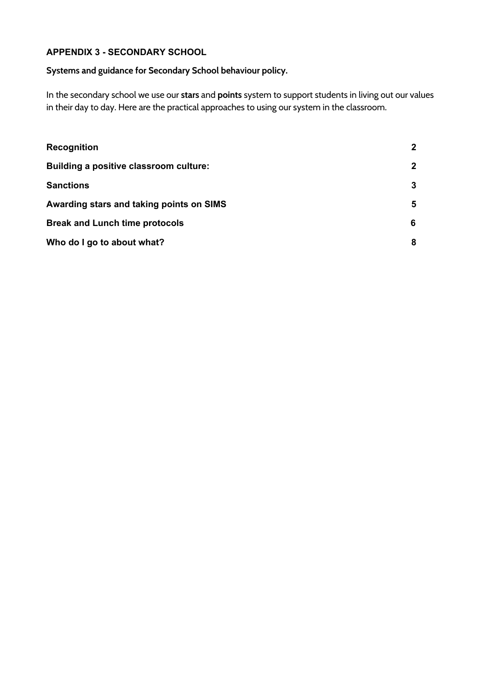#### **APPENDIX 3 - SECONDARY SCHOOL**

#### **Systems and guidance for Secondary School behaviour policy.**

In the secondary school we use our **stars** and **points** system to support students in living out our values in their day to day. Here are the practical approaches to using our system in the classroom.

| <b>Recognition</b>                       | $\mathbf{2}$ |
|------------------------------------------|--------------|
| Building a positive classroom culture:   | $\mathbf{2}$ |
| <b>Sanctions</b>                         | 3            |
| Awarding stars and taking points on SIMS | 5            |
| <b>Break and Lunch time protocols</b>    | 6            |
| Who do I go to about what?               | 8            |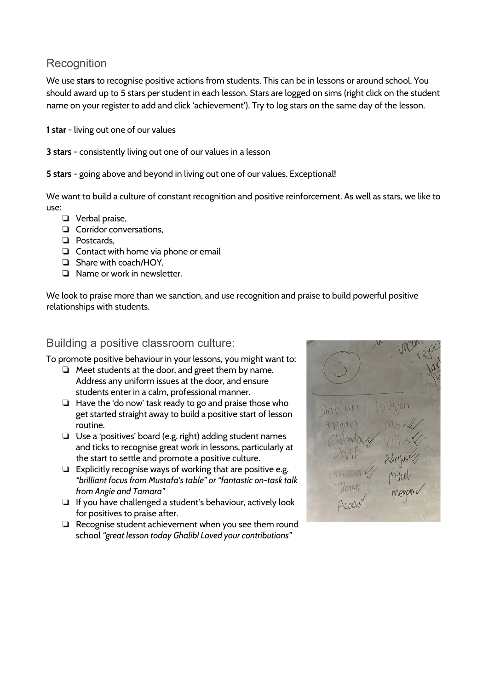## <span id="page-26-0"></span>**Recognition**

We use **stars** to recognise positive actions from students. This can be in lessons or around school. You should award up to 5 stars per student in each lesson. Stars are logged on sims (right click on the student name on your register to add and click 'achievement'). Try to log stars on the same day of the lesson.

**1 star** - living out one of our values

**3 stars** - consistently living out one of our values in a lesson

**5 stars** - going above and beyond in living out one of our values. Exceptional!

We want to build a culture of constant recognition and positive reinforcement. As well as stars, we like to use:

- ❏ Verbal praise,
- ❏ Corridor conversations,
- ❏ Postcards,
- ❏ Contact with home via phone or email
- ❏ Share with coach/HOY,
- ❏ Name or work in newsletter.

We look to praise more than we sanction, and use recognition and praise to build powerful positive relationships with students.

#### <span id="page-26-1"></span>Building a positive classroom culture:

To promote positive behaviour in your lessons, you might want to:

- ❏ Meet students at the door, and greet them by name. Address any uniform issues at the door, and ensure students enter in a calm, professional manner.
- ❏ Have the 'do now' task ready to go and praise those who get started straight away to build a positive start of lesson routine.
- ❏ Use a 'positives' board (e.g. right) adding student names and ticks to recognise great work in lessons, particularly at the start to settle and promote a positive culture.
- ❏ Explicitly recognise ways of working that are positive e.g. *"brilliant focus from Mustafa's table" or "fantastic on-task talk from Angie and Tamara"*
- ❏ If you have challenged a student's behaviour, actively look for positives to praise after.
- ❏ Recognise student achievement when you see them round school *"great lesson today Ghalib! Loved your contributions"*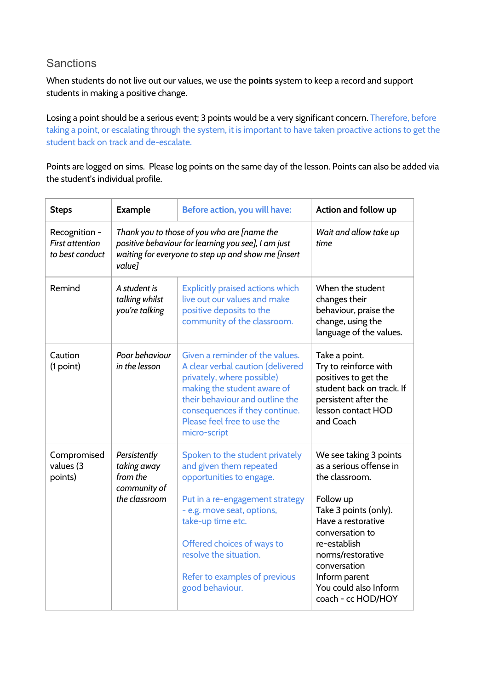### <span id="page-27-0"></span>**Sanctions**

When students do not live out our values, we use the **points** system to keep a record and support students in making a positive change.

Losing a point should be a serious event; 3 points would be a very significant concern. Therefore, before taking a point, or escalating through the system, it is important to have taken proactive actions to get the student back on track and de-escalate.

Points are logged on sims. Please log points on the same day of the lesson. Points can also be added via the student's individual profile.

| <b>Steps</b>                                               | <b>Example</b>                                                                                                                                                      | Before action, you will have:                                                                                                                                                                                                                                                            | Action and follow up                                                                                                                                                                                                                                                    |
|------------------------------------------------------------|---------------------------------------------------------------------------------------------------------------------------------------------------------------------|------------------------------------------------------------------------------------------------------------------------------------------------------------------------------------------------------------------------------------------------------------------------------------------|-------------------------------------------------------------------------------------------------------------------------------------------------------------------------------------------------------------------------------------------------------------------------|
| Recognition -<br><b>First attention</b><br>to best conduct | Thank you to those of you who are [name the<br>positive behaviour for learning you see], I am just<br>waiting for everyone to step up and show me [insert<br>value1 |                                                                                                                                                                                                                                                                                          | Wait and allow take up<br>time                                                                                                                                                                                                                                          |
| Remind                                                     | A student is<br>talking whilst<br>you're talking                                                                                                                    | <b>Explicitly praised actions which</b><br>live out our values and make<br>positive deposits to the<br>community of the classroom.                                                                                                                                                       | When the student<br>changes their<br>behaviour, praise the<br>change, using the<br>language of the values.                                                                                                                                                              |
| Caution<br>(1 point)                                       | Poor behaviour<br>in the lesson                                                                                                                                     | Given a reminder of the values.<br>A clear verbal caution (delivered<br>privately, where possible)<br>making the student aware of<br>their behaviour and outline the<br>consequences if they continue.<br>Please feel free to use the<br>micro-script                                    | Take a point.<br>Try to reinforce with<br>positives to get the<br>student back on track. If<br>persistent after the<br>lesson contact HOD<br>and Coach                                                                                                                  |
| Compromised<br>values (3<br>points)                        | Persistently<br>taking away<br>from the<br>community of<br>the classroom                                                                                            | Spoken to the student privately<br>and given them repeated<br>opportunities to engage.<br>Put in a re-engagement strategy<br>- e.g. move seat, options,<br>take-up time etc.<br>Offered choices of ways to<br>resolve the situation.<br>Refer to examples of previous<br>good behaviour. | We see taking 3 points<br>as a serious offense in<br>the classroom.<br>Follow up<br>Take 3 points (only).<br>Have a restorative<br>conversation to<br>re-establish<br>norms/restorative<br>conversation<br>Inform parent<br>You could also Inform<br>coach - cc HOD/HOY |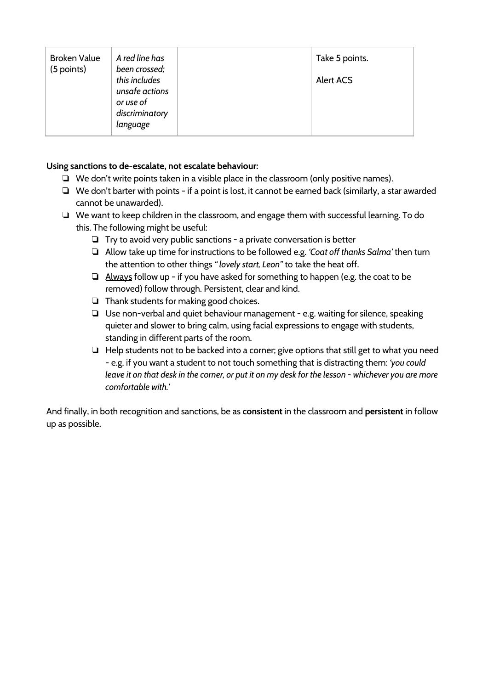| <b>Broken Value</b> | A red line has                                                | Take 5 points.   |
|---------------------|---------------------------------------------------------------|------------------|
| (5 points)          | been crossed;<br>this includes<br>unsafe actions<br>or use of | <b>Alert ACS</b> |
|                     | discriminatory<br>language                                    |                  |

#### **Using sanctions to de-escalate, not escalate behaviour:**

- ❏ We don't write points taken in a visible place in the classroom (only positive names).
- ❏ We don't barter with points if a point is lost, it cannot be earned back (similarly, a star awarded cannot be unawarded).
- ❏ We want to keep children in the classroom, and engage them with successful learning. To do this. The following might be useful:
	- ❏ Try to avoid very public sanctions a private conversation is better
	- ❏ Allow take up time for instructions to be followed e.g. *'Coat off thanks Salma'* then turn the attention to other things *" lovely start, Leon"* to take the heat off.
	- ❏ Always follow up if you have asked for something to happen (e.g. the coat to be removed) follow through. Persistent, clear and kind.
	- ❏ Thank students for making good choices.
	- ❏ Use non-verbal and quiet behaviour management e.g. waiting for silence, speaking quieter and slower to bring calm, using facial expressions to engage with students, standing in different parts of the room.
	- ❏ Help students not to be backed into a corner; give options that still get to what you need - e.g. if you want a student to not touch something that is distracting them: *'you could* leave it on that desk in the corner, or put it on my desk for the lesson - whichever you are more *comfortable with.'*

And finally, in both recognition and sanctions, be as **consistent** in the classroom and **persistent** in follow up as possible.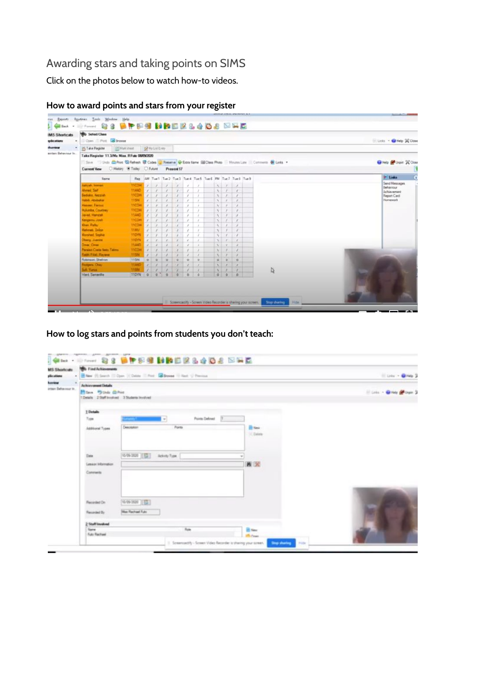## <span id="page-29-0"></span>Awarding stars and taking points on SIMS

Click on the photos below to watch how-to videos.

| <b>MS Shortcuts</b><br>$\alpha$ . | <b>NO</b> Select Class<br>Com Phot Browse                                                                      |                |            |                                                                                                                                                                 |               |                                                                                                      |                                                                                                                                          |                   |  |                          |                             |                                                    |               | Elista - OHeb X Close                  |
|-----------------------------------|----------------------------------------------------------------------------------------------------------------|----------------|------------|-----------------------------------------------------------------------------------------------------------------------------------------------------------------|---------------|------------------------------------------------------------------------------------------------------|------------------------------------------------------------------------------------------------------------------------------------------|-------------------|--|--------------------------|-----------------------------|----------------------------------------------------|---------------|----------------------------------------|
|                                   | * 25 Take Register                                                                                             | [P] Hali sheet |            | A Markint Every                                                                                                                                                 |               |                                                                                                      |                                                                                                                                          |                   |  |                          |                             |                                                    |               |                                        |
| sintain Behaviour In              | Take Register 11.3/Ma Miss. R Futo 09090000                                                                    |                |            |                                                                                                                                                                 |               |                                                                                                      |                                                                                                                                          |                   |  |                          |                             |                                                    |               |                                        |
|                                   | Save John China Co Refresh & Codes Co Preserve W Extra Name SU Class Photo   Minutes Late   Commerce @ Links + |                |            |                                                                                                                                                                 |               |                                                                                                      |                                                                                                                                          |                   |  |                          |                             |                                                    |               |                                        |
|                                   |                                                                                                                |                |            |                                                                                                                                                                 |               |                                                                                                      |                                                                                                                                          |                   |  |                          |                             |                                                    |               | Catelo Call Urgin 22 Close             |
|                                   | Current View C History & Today C Future                                                                        |                |            |                                                                                                                                                                 |               | <b>Present 17</b>                                                                                    |                                                                                                                                          |                   |  |                          |                             |                                                    |               | ß                                      |
|                                   | Name                                                                                                           | <b>Reg</b>     |            |                                                                                                                                                                 |               |                                                                                                      |                                                                                                                                          |                   |  |                          |                             | AM Tue1 Tue2 Tue3 Tue4 Tue5 Tue6 PM Tue7 Tue5 Tue3 |               | $\ddot{\mathbf{0}}$<br><b>Children</b> |
|                                   | <b>Jalicah Semani</b>                                                                                          | <b>TICOH</b>   |            | $2 - 2$                                                                                                                                                         | $\mathcal{I}$ | $\mathcal{L}$                                                                                        | ×                                                                                                                                        | $\mathcal{S}$     |  | $\sqrt{1}$               |                             | A.                                                 |               | Send Messages                          |
|                                   | <b>Allmed Sail</b>                                                                                             | 114ND          |            | $\ell$ $\ell$                                                                                                                                                   | $\lambda$     | $\mathcal{L}$                                                                                        | $\mathcal{S}$                                                                                                                            | $\mathcal{N}$     |  | $N-1$                    |                             | $\mathcal{A}$                                      |               | Behaviour<br>Achievament               |
|                                   | <b>Bedako, Kezziak</b>                                                                                         | <b>TICOH</b>   |            | 111                                                                                                                                                             | $\epsilon$    | $\mathcal{E}$                                                                                        | $\mathcal{L}$                                                                                                                            | $\lambda$         |  | $\mathcal{N}$            | $\mathcal{I}$               | $\mathcal{L}_{-}$                                  |               | Report Card                            |
|                                   | <b>Habib Joshaker</b>                                                                                          | 1194           |            | $\sqrt{2}$                                                                                                                                                      | x             | ,                                                                                                    | $\label{eq:1}$                                                                                                                           | $\lambda$         |  | $\mathcal{N}$            | $\mathcal{A}$               | $\mathcal{F}$                                      |               | <b>Homework</b>                        |
|                                   | <b>Hasser, Farnus</b>                                                                                          | <b>TICOH</b>   |            |                                                                                                                                                                 | ×             | ×                                                                                                    | $\label{eq:2.1} \hspace{0.1cm} \hspace{0.1cm} \hspace{0.1cm} \hspace{0.1cm} \hspace{0.1cm} \hspace{0.1cm} \hspace{0.1cm} \hspace{0.1cm}$ | $\lambda$         |  | $\lambda$                | s                           | £                                                  |               |                                        |
|                                   | <b>Hulunda</b> , Courtras                                                                                      | <b>TICOH</b>   |            | ×                                                                                                                                                               | ×             | $\epsilon$                                                                                           | $\mathcal{S}$                                                                                                                            | $\lambda$         |  | $\mathcal{S}_\mathrm{c}$ | $\lambda$                   | $\boldsymbol{r}$                                   |               |                                        |
|                                   | Javad, Hamzah                                                                                                  | <b>11AND</b>   |            | $\rightarrow$                                                                                                                                                   | ×             |                                                                                                      | ,                                                                                                                                        | $\lambda$         |  | $\Lambda$                | $\lambda$                   | ×                                                  |               |                                        |
|                                   | Kengern, Josh                                                                                                  | 1100H          |            | $\mathcal{F}_{\mathcal{A}}^{\mathcal{A}}(\mathcal{A})=\mathcal{F}_{\mathcal{A}}^{\mathcal{A}}(\mathcal{A})\mathcal{F}_{\mathcal{A}}^{\mathcal{A}}(\mathcal{A})$ | $\mathcal{S}$ |                                                                                                      | ×                                                                                                                                        | ×                 |  | M                        | $\mathcal{L}_{\mathcal{L}}$ | $\mathcal{E}$                                      |               |                                        |
|                                   | Khan, Ratey                                                                                                    | <b>11COH</b>   |            |                                                                                                                                                                 | x             |                                                                                                      | ×                                                                                                                                        | ×                 |  | x                        |                             | ×                                                  |               |                                        |
|                                   | <b>Maturant Dolor</b>                                                                                          | 1180/          |            | x                                                                                                                                                               | x             | $\mathcal{L}_{\mathcal{L}}$                                                                          | $\ell$                                                                                                                                   | $\mathcal{L}$     |  | $\mathcal{N}$            | ×                           | ×                                                  |               |                                        |
|                                   | <b>Marshed Scolve</b>                                                                                          | 110111         | <b>ALL</b> | $\lambda$                                                                                                                                                       | ×             | ×                                                                                                    | v.                                                                                                                                       | $\mathcal{S}$     |  | $\mathcal{N}$            | $\lambda$                   | $\overline{z}$                                     |               |                                        |
|                                   | <b>Oberg Juents</b>                                                                                            | 110m           |            | $\overline{ }$                                                                                                                                                  | $\mathcal{E}$ | x                                                                                                    | $\mathcal{E}$                                                                                                                            | $\mathcal{L}_{-}$ |  | A.L.                     | $\lambda$                   | $\mathcal{L}$                                      |               |                                        |
|                                   | <b>Onal Onar</b>                                                                                               | 11,480         |            |                                                                                                                                                                 | ×             | ×                                                                                                    | x                                                                                                                                        | $\lambda$         |  | A.L.                     | $\overline{\phantom{a}}$    | $\boldsymbol{r}$                                   |               |                                        |
|                                   | <b>Paraian Costs Nato Talmo</b>                                                                                | <b>33COH</b>   |            |                                                                                                                                                                 | ×             | ×                                                                                                    | $\overline{\phantom{a}}$                                                                                                                 |                   |  | A.                       |                             | ×                                                  |               |                                        |
|                                   | <b>Rath Filal Racers</b>                                                                                       | 11584          |            |                                                                                                                                                                 | s.            | $\label{eq:2.1} \begin{array}{cc} \mathcal{L}_{\mathcal{A}} & \mathcal{L}_{\mathcal{A}} \end{array}$ | $\mathbb Z$                                                                                                                              | $\theta$          |  | <b>VI</b>                | $\lambda$                   | $\mathcal{S}$                                      |               |                                        |
|                                   | Robinson Shelvion                                                                                              | <b>T15IN</b>   |            | $0$ $0$                                                                                                                                                         | $\alpha$      | $\circ$                                                                                              | $\circ$                                                                                                                                  | $\circ$           |  | $\circ$                  | $\circ$                     | $\alpha$                                           |               |                                        |
|                                   | <b>Rodgers, Chay</b>                                                                                           | 11440          |            |                                                                                                                                                                 |               |                                                                                                      |                                                                                                                                          | $\lambda$         |  | $\mathcal{N}$            | ,                           | ×                                                  |               |                                        |
|                                   | <b>SA Yuna</b>                                                                                                 | 11591          | v          | ×                                                                                                                                                               | ٠             |                                                                                                      |                                                                                                                                          | $\lambda$         |  | A.                       |                             | ×                                                  | $\frac{1}{2}$ |                                        |
|                                   | Ward Samantha                                                                                                  | 110YN 0 0      |            |                                                                                                                                                                 | $\circ$       | b.                                                                                                   | $\alpha$                                                                                                                                 | a.                |  | 000                      | . .                         | ø                                                  |               |                                        |

#### **How to award points and stars from your register**

**How to log stars and points from students you don't teach:**

| Links + @Heb 3             |                                    | New III Search III Dave   COstea III Print, Calibrate III Rent U Previous | <b>We Find Achievements</b>                                                                         |
|----------------------------|------------------------------------|---------------------------------------------------------------------------|-----------------------------------------------------------------------------------------------------|
| Elizabeth Chine Chinese St |                                    |                                                                           | Achievement Details<br>Filling #3 Under (D) Print<br>1 Details 2 Staff Involved 3 Students Involved |
|                            |                                    | <b>Ponta Defined</b><br>The company of the company of<br>w.               | 1 Details<br>Type                                                                                   |
|                            | <b>The News</b><br>$\times$ Databa | Points<br>Description                                                     | Additional Types                                                                                    |
|                            |                                    | 10-09-2020 [ [C] Ackety 7ype                                              | Date:                                                                                               |
|                            | 首次                                 |                                                                           | Lessor information<br>Connector                                                                     |
|                            |                                    | 10/09/2020 15:33                                                          | Facurded On                                                                                         |
|                            |                                    | <b>Max Rechael Futo</b>                                                   | Recorded By                                                                                         |
|                            |                                    |                                                                           | 2 Staff lineshood                                                                                   |
|                            | <b>B</b> New<br><b>Bulleting</b>   | Folk                                                                      | Name<br>Futo Rechael                                                                                |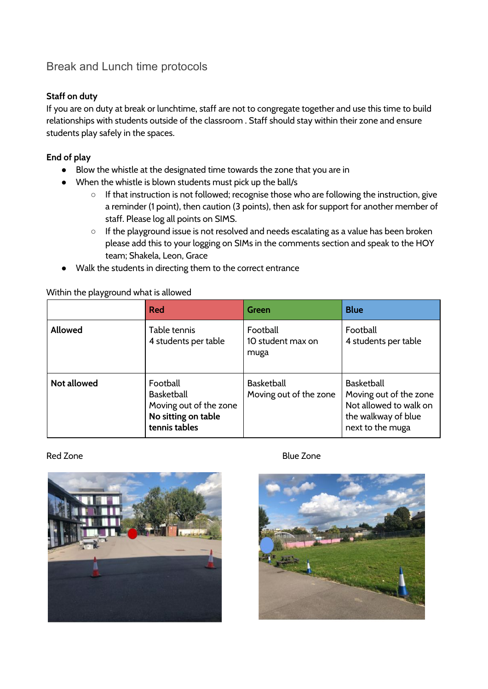## <span id="page-30-0"></span>Break and Lunch time protocols

#### **Staff on duty**

If you are on duty at break or lunchtime, staff are not to congregate together and use this time to build relationships with students outside of the classroom . Staff should stay within their zone and ensure students play safely in the spaces.

#### **End of play**

- Blow the whistle at the designated time towards the zone that you are in
- When the whistle is blown students must pick up the ball/s
	- If that instruction is not followed; recognise those who are following the instruction, give a reminder (1 point), then caution (3 points), then ask for support for another member of staff. Please log all points on SIMS.
	- If the playground issue is not resolved and needs escalating as a value has been broken please add this to your logging on SIMs in the comments section and speak to the HOY team; Shakela, Leon, Grace
- Walk the students in directing them to the correct entrance

#### Within the playground what is allowed

|                    | Red                                                                                             | Green                                       | <b>Blue</b>                                                                                                      |
|--------------------|-------------------------------------------------------------------------------------------------|---------------------------------------------|------------------------------------------------------------------------------------------------------------------|
| <b>Allowed</b>     | Table tennis<br>4 students per table                                                            | Football<br>10 student max on<br>muga       | Football<br>4 students per table                                                                                 |
| <b>Not allowed</b> | Football<br><b>Basketball</b><br>Moving out of the zone<br>No sitting on table<br>tennis tables | <b>Basketball</b><br>Moving out of the zone | <b>Basketball</b><br>Moving out of the zone<br>Not allowed to walk on<br>the walkway of blue<br>next to the muga |

#### Red Zone **Blue Zone**



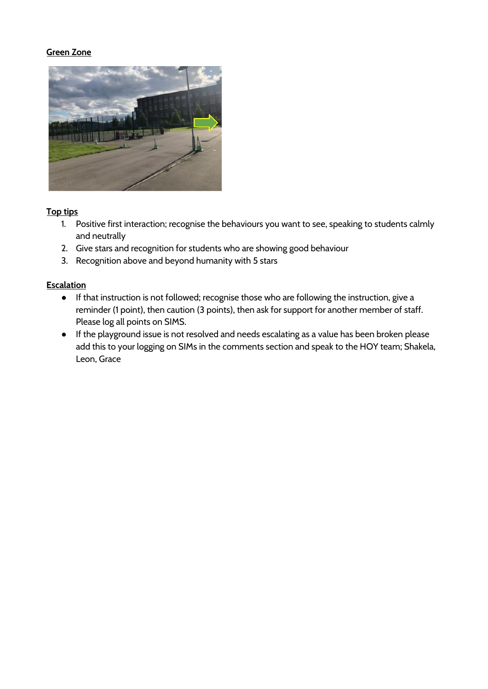#### **Green Zone**



#### **Top tips**

- 1. Positive first interaction; recognise the behaviours you want to see, speaking to students calmly and neutrally
- 2. Give stars and recognition for students who are showing good behaviour
- 3. Recognition above and beyond humanity with 5 stars

#### **Escalation**

- If that instruction is not followed; recognise those who are following the instruction, give a reminder (1 point), then caution (3 points), then ask for support for another member of staff. Please log all points on SIMS.
- If the playground issue is not resolved and needs escalating as a value has been broken please add this to your logging on SIMs in the comments section and speak to the HOY team; Shakela, Leon, Grace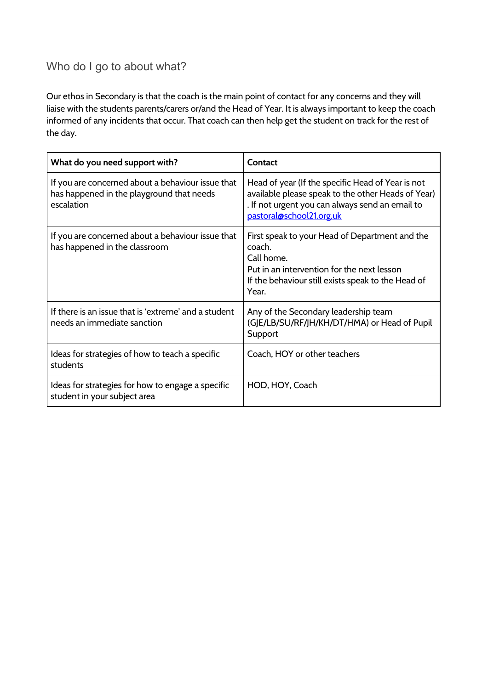## <span id="page-32-0"></span>Who do I go to about what?

Our ethos in Secondary is that the coach is the main point of contact for any concerns and they will liaise with the students parents/carers or/and the Head of Year. It is always important to keep the coach informed of any incidents that occur. That coach can then help get the student on track for the rest of the day.

| What do you need support with?                                                                               | Contact                                                                                                                                                                                |
|--------------------------------------------------------------------------------------------------------------|----------------------------------------------------------------------------------------------------------------------------------------------------------------------------------------|
| If you are concerned about a behaviour issue that<br>has happened in the playground that needs<br>escalation | Head of year (If the specific Head of Year is not<br>available please speak to the other Heads of Year)<br>. If not urgent you can always send an email to<br>pastoral@school21.org.uk |
| If you are concerned about a behaviour issue that<br>has happened in the classroom                           | First speak to your Head of Department and the<br>coach.<br>Call home.<br>Put in an intervention for the next lesson<br>If the behaviour still exists speak to the Head of<br>Year.    |
| If there is an issue that is 'extreme' and a student<br>needs an immediate sanction                          | Any of the Secondary leadership team<br>(GJE/LB/SU/RF/JH/KH/DT/HMA) or Head of Pupil<br>Support                                                                                        |
| Ideas for strategies of how to teach a specific<br>students                                                  | Coach, HOY or other teachers                                                                                                                                                           |
| Ideas for strategies for how to engage a specific<br>student in your subject area                            | HOD, HOY, Coach                                                                                                                                                                        |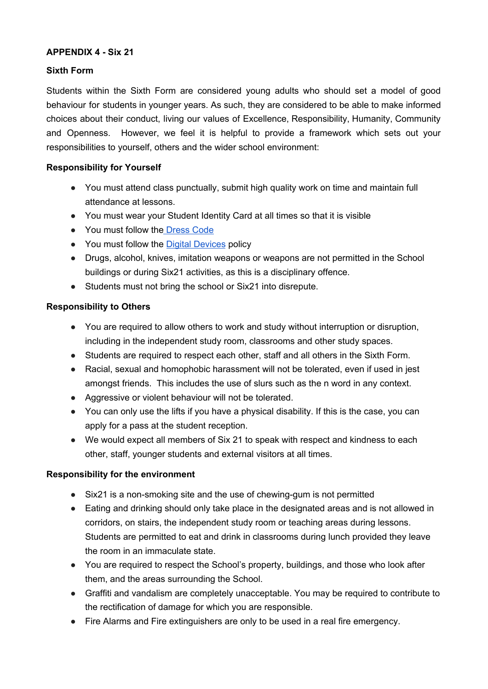#### **APPENDIX 4 - Six 21**

#### **Sixth Form**

Students within the Sixth Form are considered young adults who should set a model of good behaviour for students in younger years. As such, they are considered to be able to make informed choices about their conduct, living our values of Excellence, Responsibility, Humanity, Community and Openness. However, we feel it is helpful to provide a framework which sets out your responsibilities to yourself, others and the wider school environment:

#### **Responsibility for Yourself**

- You must attend class punctually, submit high quality work on time and maintain full attendance at lessons.
- You must wear your Student Identity Card at all times so that it is visible
- You must follow the [Dress](https://docs.google.com/document/d/1x11c_hOSDnV3R4gU_a42-GVkFFNdJ9WCk-OhHZiceKE/edit) Code
- You must follow th[e](http://docs.wixstatic.com/ugd/fb5fbd_66faa57de2874fb299ab37b503dfe7e6.pdf) Digital [Devices](http://docs.wixstatic.com/ugd/fb5fbd_66faa57de2874fb299ab37b503dfe7e6.pdf) policy
- Drugs, alcohol, knives, imitation weapons or weapons are not permitted in the School buildings or during Six21 activities, as this is a disciplinary offence.
- Students must not bring the school or Six21 into disrepute.

#### **Responsibility to Others**

- You are required to allow others to work and study without interruption or disruption, including in the independent study room, classrooms and other study spaces.
- Students are required to respect each other, staff and all others in the Sixth Form.
- Racial, sexual and homophobic harassment will not be tolerated, even if used in jest amongst friends. This includes the use of slurs such as the n word in any context.
- Aggressive or violent behaviour will not be tolerated.
- You can only use the lifts if you have a physical disability. If this is the case, you can apply for a pass at the student reception.
- We would expect all members of Six 21 to speak with respect and kindness to each other, staff, younger students and external visitors at all times.

#### **Responsibility for the environment**

- Six21 is a non-smoking site and the use of chewing-gum is not permitted
- Eating and drinking should only take place in the designated areas and is not allowed in corridors, on stairs, the independent study room or teaching areas during lessons. Students are permitted to eat and drink in classrooms during lunch provided they leave the room in an immaculate state.
- You are required to respect the School's property, buildings, and those who look after them, and the areas surrounding the School.
- Graffiti and vandalism are completely unacceptable. You may be required to contribute to the rectification of damage for which you are responsible.
- Fire Alarms and Fire extinguishers are only to be used in a real fire emergency.